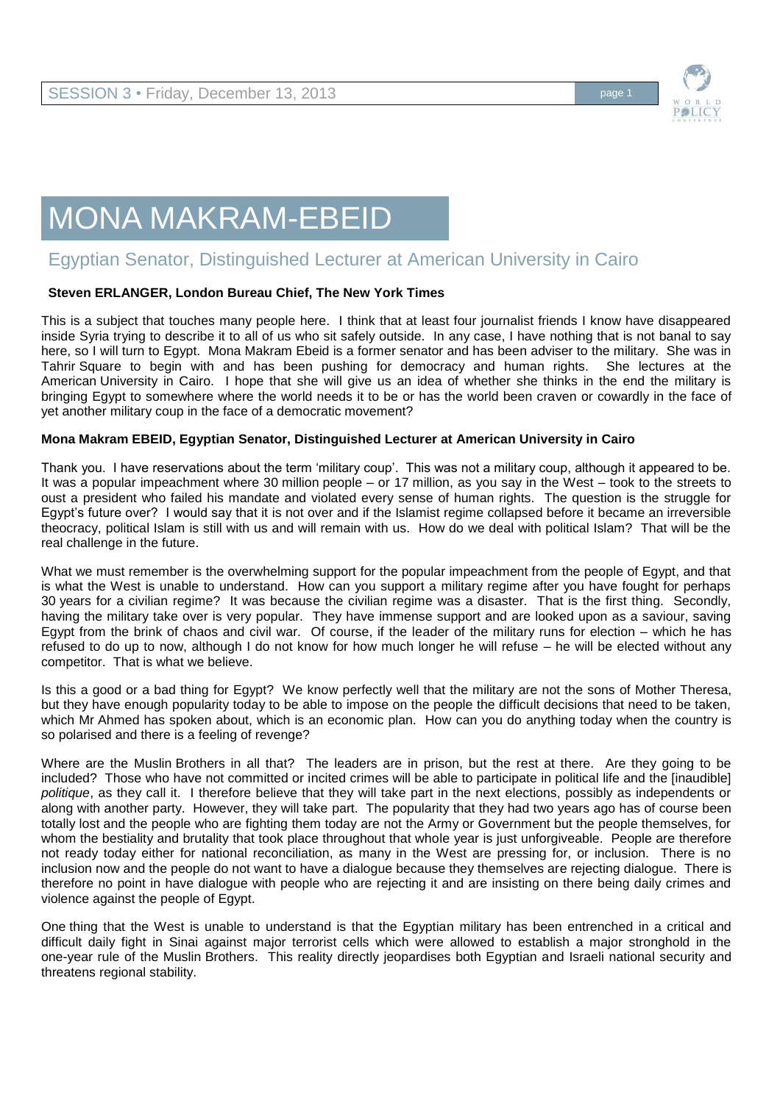

## MONA MAKRAM-EBEID

## Egyptian Senator, Distinguished Lecturer at American University in Cairo

## **Steven ERLANGER, London Bureau Chief, The New York Times**

This is a subject that touches many people here. I think that at least four journalist friends I know have disappeared inside Syria trying to describe it to all of us who sit safely outside. In any case, I have nothing that is not banal to say here, so I will turn to Egypt. Mona Makram Ebeid is a former senator and has been adviser to the military. She was in Tahrir Square to begin with and has been pushing for democracy and human rights. She lectures at the American University in Cairo. I hope that she will give us an idea of whether she thinks in the end the military is bringing Egypt to somewhere where the world needs it to be or has the world been craven or cowardly in the face of yet another military coup in the face of a democratic movement?

## **Mona Makram EBEID, Egyptian Senator, Distinguished Lecturer at American University in Cairo**

Thank you. I have reservations about the term 'military coup'. This was not a military coup, although it appeared to be. It was a popular impeachment where 30 million people – or 17 million, as you say in the West – took to the streets to oust a president who failed his mandate and violated every sense of human rights. The question is the struggle for Egypt's future over? I would say that it is not over and if the Islamist regime collapsed before it became an irreversible theocracy, political Islam is still with us and will remain with us. How do we deal with political Islam? That will be the real challenge in the future.

What we must remember is the overwhelming support for the popular impeachment from the people of Egypt, and that is what the West is unable to understand. How can you support a military regime after you have fought for perhaps 30 years for a civilian regime? It was because the civilian regime was a disaster. That is the first thing. Secondly, having the military take over is very popular. They have immense support and are looked upon as a saviour, saving Egypt from the brink of chaos and civil war. Of course, if the leader of the military runs for election – which he has refused to do up to now, although I do not know for how much longer he will refuse – he will be elected without any competitor. That is what we believe.

Is this a good or a bad thing for Egypt? We know perfectly well that the military are not the sons of Mother Theresa, but they have enough popularity today to be able to impose on the people the difficult decisions that need to be taken, which Mr Ahmed has spoken about, which is an economic plan. How can you do anything today when the country is so polarised and there is a feeling of revenge?

Where are the Muslin Brothers in all that? The leaders are in prison, but the rest at there. Are they going to be included? Those who have not committed or incited crimes will be able to participate in political life and the [inaudible] *politique*, as they call it. I therefore believe that they will take part in the next elections, possibly as independents or along with another party. However, they will take part. The popularity that they had two years ago has of course been totally lost and the people who are fighting them today are not the Army or Government but the people themselves, for whom the bestiality and brutality that took place throughout that whole year is just unforgiveable. People are therefore not ready today either for national reconciliation, as many in the West are pressing for, or inclusion. There is no inclusion now and the people do not want to have a dialogue because they themselves are rejecting dialogue. There is therefore no point in have dialogue with people who are rejecting it and are insisting on there being daily crimes and violence against the people of Egypt.

One thing that the West is unable to understand is that the Egyptian military has been entrenched in a critical and difficult daily fight in Sinai against major terrorist cells which were allowed to establish a major stronghold in the one-year rule of the Muslin Brothers. This reality directly jeopardises both Egyptian and Israeli national security and threatens regional stability.